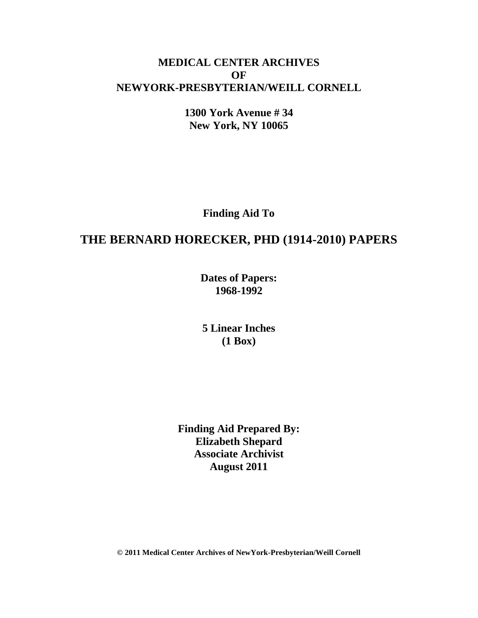## **MEDICAL CENTER ARCHIVES OF NEWYORK-PRESBYTERIAN/WEILL CORNELL**

**1300 York Avenue # 34 New York, NY 10065**

**Finding Aid To**

# **THE BERNARD HORECKER, PHD (1914-2010) PAPERS**

**Dates of Papers: 1968-1992**

**5 Linear Inches (1 Box)**

**Finding Aid Prepared By: Elizabeth Shepard Associate Archivist August 2011**

**© 2011 Medical Center Archives of NewYork-Presbyterian/Weill Cornell**